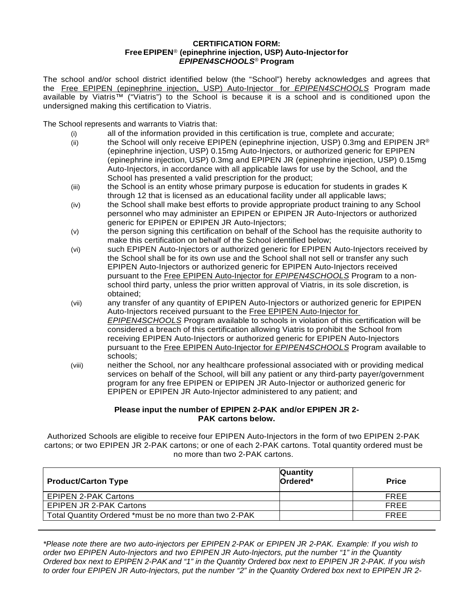## **CERTIFICATION FORM: FreeEPIPEN**® **(epinephrine injection, USP) Auto-Injectorfor** *EPIPEN4SCHOOLS*® **Program**

The school and/or school district identified below (the "School") hereby acknowledges and agrees that the Free EPIPEN (epinephrine injection, USP) Auto-Injector for *EPIPEN4SCHOOLS* Program made available by Viatris™ ("Viatris") to the School is because it is a school and is conditioned upon the undersigned making this certification to Viatris.

The School represents and warrants to Viatris that:

- (i) all of the information provided in this certification is true, complete and accurate;
- (ii) the School will only receive EPIPEN (epinephrine injection, USP) 0.3mg and EPIPEN JR<sup>®</sup> (epinephrine injection, USP) 0.15mg Auto-Injectors, or authorized generic for EPIPEN (epinephrine injection, USP) 0.3mg and EPIPEN JR (epinephrine injection, USP) 0.15mg Auto-Injectors, in accordance with all applicable laws for use by the School, and the School has presented a valid prescription for the product;
- (iii) the School is an entity whose primary purpose is education for students in grades K through 12 that is licensed as an educational facility under all applicable laws;
- (iv) the School shall make best efforts to provide appropriate product training to any School personnel who may administer an EPIPEN or EPIPEN JR Auto-Injectors or authorized generic for EPIPEN or EPIPEN JR Auto-Injectors;
- (v) the person signing this certification on behalf of the School has the requisite authority to make this certification on behalf of the School identified below;
- (vi) such EPIPEN Auto-Injectors or authorized generic for EPIPEN Auto-Injectors received by the School shall be for its own use and the School shall not sell or transfer any such EPIPEN Auto-Injectors or authorized generic for EPIPEN Auto-Injectors received pursuant to the Free EPIPEN Auto-Injector for *EPIPEN4SCHOOLS* Program to a nonschool third party, unless the prior written approval of Viatris, in its sole discretion, is obtained;
- (vii) any transfer of any quantity of EPIPEN Auto-Injectors or authorized generic for EPIPEN Auto-Injectors received pursuant to the Free EPIPEN Auto-Injector for *EPIPEN4SCHOOLS* Program available to schools in violation of this certification will be considered a breach of this certification allowing Viatris to prohibit the School from receiving EPIPEN Auto-Injectors or authorized generic for EPIPEN Auto-Injectors pursuant to the Free EPIPEN Auto-Injector for *EPIPEN4SCHOOLS* Program available to schools;
- (viii) neither the School, nor any healthcare professional associated with or providing medical services on behalf of the School, will bill any patient or any third-party payer/government program for any free EPIPEN or EPIPEN JR Auto-Injector or authorized generic for EPIPEN or EPIPEN JR Auto-Injector administered to any patient; and

## **Please input the number of EPIPEN 2-PAK and/or EPIPEN JR 2- PAK cartons below.**

Authorized Schools are eligible to receive four EPIPEN Auto-Injectors in the form of two EPIPEN 2-PAK cartons; or two EPIPEN JR 2-PAK cartons; or one of each 2-PAK cartons. Total quantity ordered must be no more than two 2-PAK cartons.

| <b>Product/Carton Type</b>                             | Quantity<br>Ordered <sup>*</sup> | <b>Price</b> |
|--------------------------------------------------------|----------------------------------|--------------|
| <b>EPIPEN 2-PAK Cartons</b>                            |                                  | <b>FREE</b>  |
| EPIPEN JR 2-PAK Cartons                                |                                  | <b>FREE</b>  |
| Total Quantity Ordered *must be no more than two 2-PAK |                                  | <b>FREE</b>  |

*\*Please note there are two auto-injectors per EPIPEN 2-PAK or EPIPEN JR 2-PAK. Example: If you wish to order two EPIPEN Auto-Injectors and two EPIPEN JR Auto-Injectors, put the number "1" in the Quantity* Ordered box next to EPIPEN 2-PAK and "1" in the Quantity Ordered box next to EPIPEN JR 2-PAK. If you wish to order four EPIPEN JR Auto-Injectors, put the number "2" in the Quantity Ordered box next to EPIPEN JR 2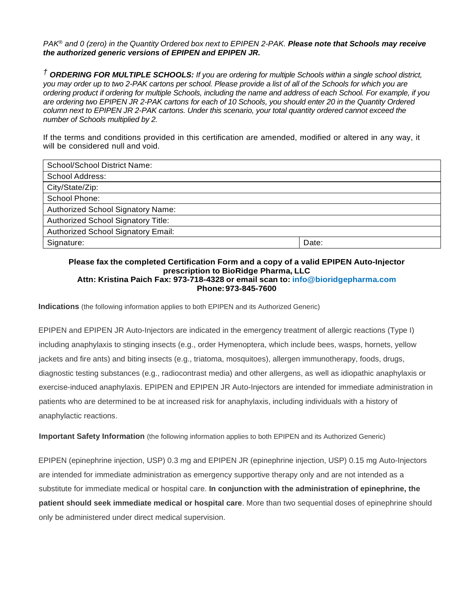*PAK*® *and 0 (zero) in the Quantity Ordered box next to EPIPEN 2-PAK. Please note that Schools may receive the authorized generic versions of EPIPEN and EPIPEN JR.*

*† ORDERING FOR MULTIPLE SCHOOLS: If you are ordering for multiple Schools within a single school district, you may order up to two 2-PAK cartons per school. Please provide a list of all of the Schools for which you are ordering product if ordering for multiple Schools, including the name and address of each School. For example, if you are ordering two EPIPEN JR 2-PAK cartons for each of 10 Schools, you should enter 20 in the Quantity Ordered column next to EPIPEN JR 2-PAK cartons. Under this scenario, your total quantity ordered cannot exceed the number of Schools multiplied by 2.*

If the terms and conditions provided in this certification are amended, modified or altered in any way, it will be considered null and void.

| School/School District Name:       |       |
|------------------------------------|-------|
| School Address:                    |       |
| City/State/Zip:                    |       |
| School Phone:                      |       |
| Authorized School Signatory Name:  |       |
| Authorized School Signatory Title: |       |
| Authorized School Signatory Email: |       |
| Signature:                         | Date: |

## **Please fax the completed Certification Form and a copy of a valid EPIPEN Auto-Injector prescription to BioRidge Pharma, LLC Attn: Kristina Paich Fax: 973-718-4328 or email scan to: [info@bioridgepharma.com](mailto:info@bioridgepharma.com)**

**Phone:973-845-7600**

**Indications** (the following information applies to both EPIPEN and its Authorized Generic)

EPIPEN and EPIPEN JR Auto-Injectors are indicated in the emergency treatment of allergic reactions (Type I) including anaphylaxis to stinging insects (e.g., order Hymenoptera, which include bees, wasps, hornets, yellow jackets and fire ants) and biting insects (e.g., triatoma, mosquitoes), allergen immunotherapy, foods, drugs, diagnostic testing substances (e.g., radiocontrast media) and other allergens, as well as idiopathic anaphylaxis or exercise-induced anaphylaxis. EPIPEN and EPIPEN JR Auto-Injectors are intended for immediate administration in patients who are determined to be at increased risk for anaphylaxis, including individuals with a history of anaphylactic reactions.

**Important Safety Information** (the following information applies to both EPIPEN and its Authorized Generic)

EPIPEN (epinephrine injection, USP) 0.3 mg and EPIPEN JR (epinephrine injection, USP) 0.15 mg Auto-Injectors are intended for immediate administration as emergency supportive therapy only and are not intended as a substitute for immediate medical or hospital care. **In conjunction with the administration of epinephrine, the patient should seek immediate medical or hospital care**. More than two sequential doses of epinephrine should only be administered under direct medical supervision.